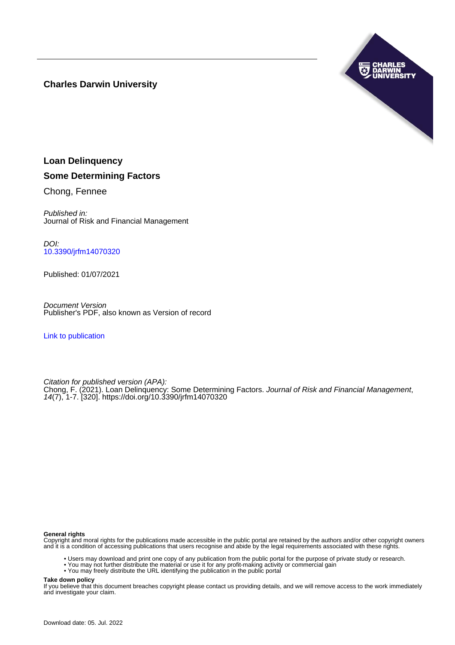# **Charles Darwin University**



# **Loan Delinquency Some Determining Factors**

Chong, Fennee

Published in: Journal of Risk and Financial Management

DOI: [10.3390/jrfm14070320](https://doi.org/10.3390/jrfm14070320)

Published: 01/07/2021

Document Version Publisher's PDF, also known as Version of record

[Link to publication](https://researchers.cdu.edu.au/en/publications/279cb09b-58b5-4d51-87a1-86e8b775c681)

Citation for published version (APA): Chong, F. (2021). Loan Delinquency: Some Determining Factors. Journal of Risk and Financial Management, 14(7), 1-7. [320]. <https://doi.org/10.3390/jrfm14070320>

#### **General rights**

Copyright and moral rights for the publications made accessible in the public portal are retained by the authors and/or other copyright owners and it is a condition of accessing publications that users recognise and abide by the legal requirements associated with these rights.

- Users may download and print one copy of any publication from the public portal for the purpose of private study or research.
- You may not further distribute the material or use it for any profit-making activity or commercial gain
- You may freely distribute the URL identifying the publication in the public portal

**Take down policy**

If you believe that this document breaches copyright please contact us providing details, and we will remove access to the work immediately and investigate your claim.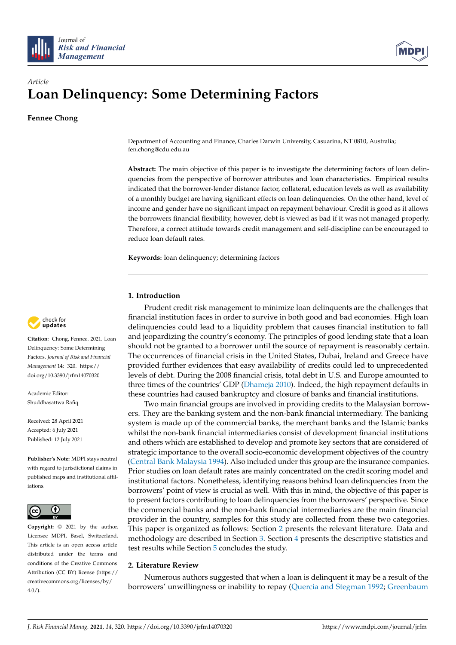



# *Article* **Loan Delinquency: Some Determining Factors**

**Fennee Chong**

Department of Accounting and Finance, Charles Darwin University, Casuarina, NT 0810, Australia; fen.chong@cdu.edu.au

**Abstract:** The main objective of this paper is to investigate the determining factors of loan delinquencies from the perspective of borrower attributes and loan characteristics. Empirical results indicated that the borrower-lender distance factor, collateral, education levels as well as availability of a monthly budget are having significant effects on loan delinquencies. On the other hand, level of income and gender have no significant impact on repayment behaviour. Credit is good as it allows the borrowers financial flexibility, however, debt is viewed as bad if it was not managed properly. Therefore, a correct attitude towards credit management and self-discipline can be encouraged to reduce loan default rates.

**Keywords:** loan delinquency; determining factors

# **1. Introduction**

Prudent credit risk management to minimize loan delinquents are the challenges that financial institution faces in order to survive in both good and bad economies. High loan delinquencies could lead to a liquidity problem that causes financial institution to fall and jeopardizing the country's economy. The principles of good lending state that a loan should not be granted to a borrower until the source of repayment is reasonably certain. The occurrences of financial crisis in the United States, Dubai, Ireland and Greece have provided further evidences that easy availability of credits could led to unprecedented levels of debt. During the 2008 financial crisis, total debt in U.S. and Europe amounted to three times of the countries' GDP [\(Dhameja](#page-7-0) [2010\)](#page-7-0). Indeed, the high repayment defaults in these countries had caused bankruptcy and closure of banks and financial institutions.

Two main financial groups are involved in providing credits to the Malaysian borrowers. They are the banking system and the non-bank financial intermediary. The banking system is made up of the commercial banks, the merchant banks and the Islamic banks whilst the non-bank financial intermediaries consist of development financial institutions and others which are established to develop and promote key sectors that are considered of strategic importance to the overall socio-economic development objectives of the country [\(Central Bank Malaysia](#page-7-1) [1994\)](#page-7-1). Also included under this group are the insurance companies. Prior studies on loan default rates are mainly concentrated on the credit scoring model and institutional factors. Nonetheless, identifying reasons behind loan delinquencies from the borrowers' point of view is crucial as well. With this in mind, the objective of this paper is to present factors contributing to loan delinquencies from the borrowers' perspective. Since the commercial banks and the non-bank financial intermediaries are the main financial provider in the country, samples for this study are collected from these two categories. This paper is organized as follows: Section [2](#page-1-0) presents the relevant literature. Data and methodology are described in Section [3.](#page-3-0) Section [4](#page-4-0) presents the descriptive statistics and test results while Section [5](#page-6-0) concludes the study.

# <span id="page-1-0"></span>**2. Literature Review**

Numerous authors suggested that when a loan is delinquent it may be a result of the borrowers' unwillingness or inability to repay [\(Quercia and Stegman](#page-7-2) [1992;](#page-7-2) [Greenbaum](#page-7-3)



**Citation:** Chong, Fennee. 2021. Loan Delinquency: Some Determining Factors. *Journal of Risk and Financial Management* 14: 320. [https://](https://doi.org/10.3390/jrfm14070320) [doi.org/10.3390/jrfm14070320](https://doi.org/10.3390/jrfm14070320)

Academic Editor: Shuddhasattwa Rafiq

Received: 28 April 2021 Accepted: 6 July 2021 Published: 12 July 2021

**Publisher's Note:** MDPI stays neutral with regard to jurisdictional claims in published maps and institutional affiliations.



**Copyright:** © 2021 by the author. Licensee MDPI, Basel, Switzerland. This article is an open access article distributed under the terms and conditions of the Creative Commons Attribution (CC BY) license (https:/[/](https://creativecommons.org/licenses/by/4.0/) [creativecommons.org/licenses/by/](https://creativecommons.org/licenses/by/4.0/)  $4.0/$ ).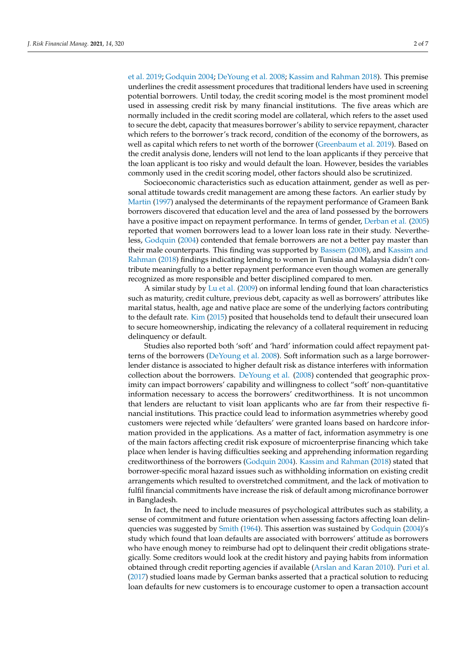[et al.](#page-7-3) [2019;](#page-7-3) [Godquin](#page-7-4) [2004;](#page-7-4) [DeYoung et al.](#page-7-5) [2008;](#page-7-5) [Kassim and Rahman](#page-7-6) [2018\)](#page-7-6). This premise underlines the credit assessment procedures that traditional lenders have used in screening potential borrowers. Until today, the credit scoring model is the most prominent model used in assessing credit risk by many financial institutions. The five areas which are normally included in the credit scoring model are collateral, which refers to the asset used to secure the debt, capacity that measures borrower's ability to service repayment, character which refers to the borrower's track record, condition of the economy of the borrowers, as well as capital which refers to net worth of the borrower [\(Greenbaum et al.](#page-7-3) [2019\)](#page-7-3). Based on the credit analysis done, lenders will not lend to the loan applicants if they perceive that the loan applicant is too risky and would default the loan. However, besides the variables commonly used in the credit scoring model, other factors should also be scrutinized.

Socioeconomic characteristics such as education attainment, gender as well as personal attitude towards credit management are among these factors. An earlier study by [Martin](#page-7-7) [\(1997\)](#page-7-7) analysed the determinants of the repayment performance of Grameen Bank borrowers discovered that education level and the area of land possessed by the borrowers have a positive impact on repayment performance. In terms of gender, [Derban et al.](#page-7-8) [\(2005\)](#page-7-8) reported that women borrowers lead to a lower loan loss rate in their study. Nevertheless, [Godquin](#page-7-4) [\(2004\)](#page-7-4) contended that female borrowers are not a better pay master than their male counterparts. This finding was supported by [Bassem](#page-7-9) [\(2008\)](#page-7-9), and [Kassim and](#page-7-6) [Rahman](#page-7-6) [\(2018\)](#page-7-6) findings indicating lending to women in Tunisia and Malaysia didn't contribute meaningfully to a better repayment performance even though women are generally recognized as more responsible and better disciplined compared to men.

A similar study by [Lu et al.](#page-7-10) [\(2009\)](#page-7-10) on informal lending found that loan characteristics such as maturity, credit culture, previous debt, capacity as well as borrowers' attributes like marital status, health, age and native place are some of the underlying factors contributing to the default rate. [Kim](#page-7-11) [\(2015\)](#page-7-11) posited that households tend to default their unsecured loan to secure homeownership, indicating the relevancy of a collateral requirement in reducing delinquency or default.

Studies also reported both 'soft' and 'hard' information could affect repayment patterns of the borrowers [\(DeYoung et al.](#page-7-5) [2008\)](#page-7-5). Soft information such as a large borrowerlender distance is associated to higher default risk as distance interferes with information collection about the borrowers. [DeYoung et al.](#page-7-5) [\(2008\)](#page-7-5) contended that geographic proximity can impact borrowers' capability and willingness to collect "soft' non-quantitative information necessary to access the borrowers' creditworthiness. It is not uncommon that lenders are reluctant to visit loan applicants who are far from their respective financial institutions. This practice could lead to information asymmetries whereby good customers were rejected while 'defaulters' were granted loans based on hardcore information provided in the applications. As a matter of fact, information asymmetry is one of the main factors affecting credit risk exposure of microenterprise financing which take place when lender is having difficulties seeking and apprehending information regarding creditworthiness of the borrowers [\(Godquin](#page-7-4) [2004\)](#page-7-4). [Kassim and Rahman](#page-7-6) [\(2018\)](#page-7-6) stated that borrower-specific moral hazard issues such as withholding information on existing credit arrangements which resulted to overstretched commitment, and the lack of motivation to fulfil financial commitments have increase the risk of default among microfinance borrower in Bangladesh.

In fact, the need to include measures of psychological attributes such as stability, a sense of commitment and future orientation when assessing factors affecting loan delinquencies was suggested by [Smith](#page-7-12) [\(1964\)](#page-7-12). This assertion was sustained by [Godquin](#page-7-4) [\(2004\)](#page-7-4)'s study which found that loan defaults are associated with borrowers' attitude as borrowers who have enough money to reimburse had opt to delinquent their credit obligations strategically. Some creditors would look at the credit history and paying habits from information obtained through credit reporting agencies if available [\(Arslan and Karan](#page-7-13) [2010\)](#page-7-13). [Puri et al.](#page-7-14) [\(2017\)](#page-7-14) studied loans made by German banks asserted that a practical solution to reducing loan defaults for new customers is to encourage customer to open a transaction account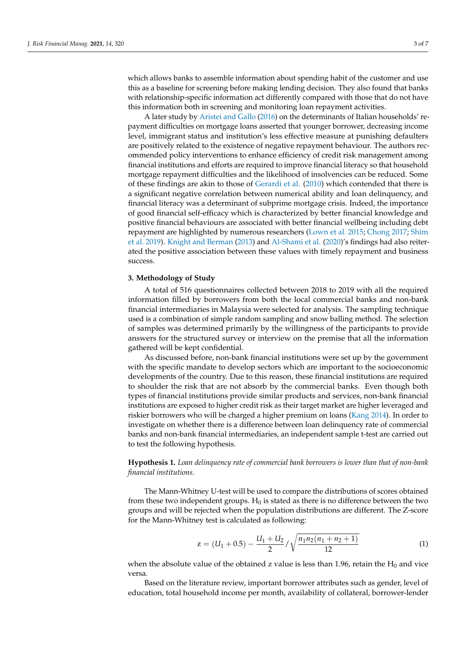which allows banks to assemble information about spending habit of the customer and use this as a baseline for screening before making lending decision. They also found that banks with relationship-specific information act differently compared with those that do not have this information both in screening and monitoring loan repayment activities.

A later study by [Aristei and Gallo](#page-7-15) [\(2016\)](#page-7-15) on the determinants of Italian households' repayment difficulties on mortgage loans asserted that younger borrower, decreasing income level, immigrant status and institution's less effective measure at punishing defaulters are positively related to the existence of negative repayment behaviour. The authors recommended policy interventions to enhance efficiency of credit risk management among financial institutions and efforts are required to improve financial literacy so that household mortgage repayment difficulties and the likelihood of insolvencies can be reduced. Some of these findings are akin to those of [Gerardi et al.](#page-7-16) [\(2010\)](#page-7-16) which contended that there is a significant negative correlation between numerical ability and loan delinquency, and financial literacy was a determinant of subprime mortgage crisis. Indeed, the importance of good financial self-efficacy which is characterized by better financial knowledge and positive financial behaviours are associated with better financial wellbeing including debt repayment are highlighted by numerous researchers [\(Lown et al.](#page-7-17) [2015;](#page-7-17) [Chong](#page-7-18) [2017;](#page-7-18) [Shim](#page-7-19) [et al.](#page-7-19) [2019\)](#page-7-19). [Knight and Berman](#page-7-20) [\(2013\)](#page-7-20) and [Al-Shami et al.](#page-7-21) [\(2020\)](#page-7-21)'s findings had also reiterated the positive association between these values with timely repayment and business success.

#### <span id="page-3-0"></span>**3. Methodology of Study**

A total of 516 questionnaires collected between 2018 to 2019 with all the required information filled by borrowers from both the local commercial banks and non-bank financial intermediaries in Malaysia were selected for analysis. The sampling technique used is a combination of simple random sampling and snow balling method. The selection of samples was determined primarily by the willingness of the participants to provide answers for the structured survey or interview on the premise that all the information gathered will be kept confidential.

As discussed before, non-bank financial institutions were set up by the government with the specific mandate to develop sectors which are important to the socioeconomic developments of the country. Due to this reason, these financial institutions are required to shoulder the risk that are not absorb by the commercial banks. Even though both types of financial institutions provide similar products and services, non-bank financial institutions are exposed to higher credit risk as their target market are higher leveraged and riskier borrowers who will be charged a higher premium on loans [\(Kang](#page-7-22) [2014\)](#page-7-22). In order to investigate on whether there is a difference between loan delinquency rate of commercial banks and non-bank financial intermediaries, an independent sample t-test are carried out to test the following hypothesis.

**Hypothesis 1.** *Loan delinquency rate of commercial bank borrowers is lower than that of non-bank financial institutions.*

The Mann-Whitney U-test will be used to compare the distributions of scores obtained from these two independent groups.  $H_0$  is stated as there is no difference between the two groups and will be rejected when the population distributions are different. The Z-score for the Mann-Whitney test is calculated as following:

$$
z = (U_1 + 0.5) - \frac{U_1 + U_2}{2} / \sqrt{\frac{n_1 n_2 (n_1 + n_2 + 1)}{12}} \tag{1}
$$

when the absolute value of the obtained z value is less than 1.96, retain the  $H_0$  and vice versa.

Based on the literature review, important borrower attributes such as gender, level of education, total household income per month, availability of collateral, borrower-lender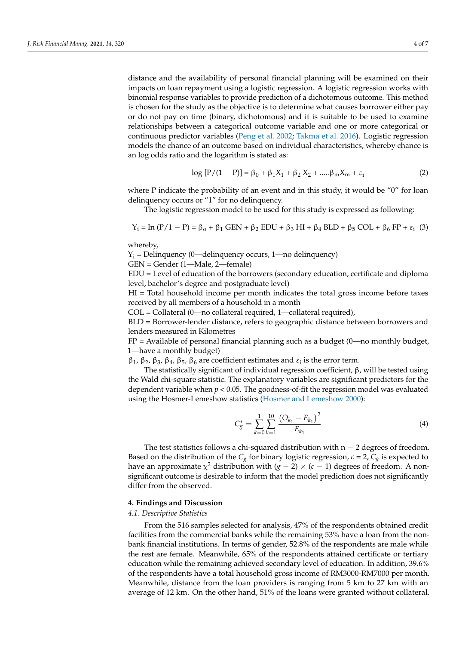distance and the availability of personal financial planning will be examined on their impacts on loan repayment using a logistic regression. A logistic regression works with binomial response variables to provide prediction of a dichotomous outcome. This method is chosen for the study as the objective is to determine what causes borrower either pay or do not pay on time (binary, dichotomous) and it is suitable to be used to examine relationships between a categorical outcome variable and one or more categorical or continuous predictor variables [\(Peng et al.](#page-7-23) [2002;](#page-7-23) [Takma et al.](#page-7-24) [2016\)](#page-7-24). Logistic regression models the chance of an outcome based on individual characteristics, whereby chance is an log odds ratio and the logarithm is stated as:

$$
\log [P/(1 - P)] = \beta_0 + \beta_1 X_1 + \beta_2 X_2 + \dots \beta_m X_m + \varepsilon_i
$$
 (2)

where P indicate the probability of an event and in this study, it would be " $0$ " for loan delinquency occurs or "1" for no delinquency.

The logistic regression model to be used for this study is expressed as following:

$$
Y_i = \text{In } (P/1 - P) = \beta_0 + \beta_1 \text{ GEN} + \beta_2 \text{ EDU} + \beta_3 \text{ HI} + \beta_4 \text{ BLD} + \beta_5 \text{ COL} + \beta_6 \text{ FP} + \varepsilon_i \tag{3}
$$

whereby,

 $Y_i$  = Delinquency (0—delinquency occurs, 1—no delinquency)

GEN = Gender (1—Male, 2—female)

EDU = Level of education of the borrowers (secondary education, certificate and diploma level, bachelor's degree and postgraduate level)

HI = Total household income per month indicates the total gross income before taxes received by all members of a household in a month

COL = Collateral (0—no collateral required, 1—collateral required),

BLD = Borrower-lender distance, refers to geographic distance between borrowers and lenders measured in Kilometres

 $FP =$  Available of personal financial planning such as a budget  $(0)$ —no monthly budget, 1—have a monthly budget)

 $β<sub>1</sub>, β<sub>2</sub>, β<sub>3</sub>, β<sub>4</sub>, β<sub>5</sub>, β<sub>6</sub>$  are coefficient estimates and  $ε<sub>i</sub>$  is the error term.

The statistically significant of individual regression coefficient, β, will be tested using the Wald chi-square statistic. The explanatory variables are significant predictors for the dependent variable when  $p < 0.05$ . The goodness-of-fit the regression model was evaluated using the Hosmer-Lemeshow statistics [\(Hosmer and Lemeshow](#page-7-25) [2000\)](#page-7-25):

$$
C_{g}^{*} = \sum_{k=0}^{1} \sum_{k=1}^{10} \frac{\left(O_{k_{1}} - E_{k_{1}}\right)^{2}}{E_{k_{1}}} \tag{4}
$$

The test statistics follows a chi-squared distribution with  $n - 2$  degrees of freedom. Based on the distribution of the  $C_g$  for binary logistic regression,  $c = 2$ ,  $C_g$  is expected to have an approximate  $\chi^2$  distribution with ( $g-2)\times (c-1)$  degrees of freedom. A nonsignificant outcome is desirable to inform that the model prediction does not significantly differ from the observed.

# <span id="page-4-0"></span>**4. Findings and Discussion**

#### *4.1. Descriptive Statistics*

From the 516 samples selected for analysis, 47% of the respondents obtained credit facilities from the commercial banks while the remaining 53% have a loan from the nonbank financial institutions. In terms of gender, 52.8% of the respondents are male while the rest are female. Meanwhile, 65% of the respondents attained certificate or tertiary education while the remaining achieved secondary level of education. In addition, 39.6% of the respondents have a total household gross income of RM3000-RM7000 per month. Meanwhile, distance from the loan providers is ranging from 5 km to 27 km with an average of 12 km. On the other hand, 51% of the loans were granted without collateral.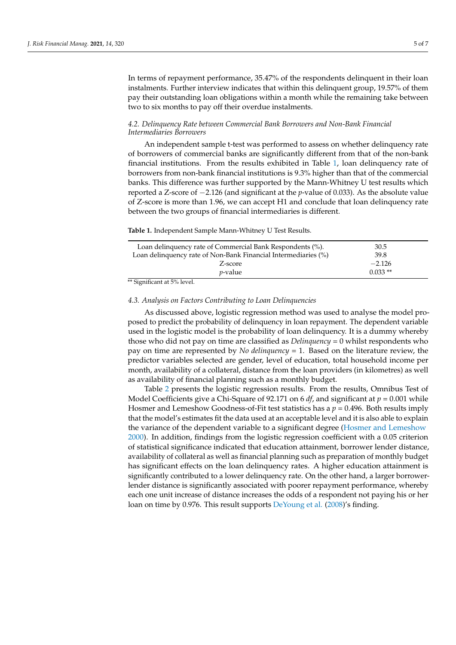In terms of repayment performance, 35.47% of the respondents delinquent in their loan instalments. Further interview indicates that within this delinquent group, 19.57% of them pay their outstanding loan obligations within a month while the remaining take between two to six months to pay off their overdue instalments.

### *4.2. Delinquency Rate between Commercial Bank Borrowers and Non-Bank Financial Intermediaries Borrowers*

An independent sample t-test was performed to assess on whether delinquency rate of borrowers of commercial banks are significantly different from that of the non-bank financial institutions. From the results exhibited in Table [1,](#page-5-0) loan delinquency rate of borrowers from non-bank financial institutions is 9.3% higher than that of the commercial banks. This difference was further supported by the Mann-Whitney U test results which reported a Z-score of −2.126 (and significant at the *p*-value of 0.033). As the absolute value of Z-score is more than 1.96, we can accept H1 and conclude that loan delinquency rate between the two groups of financial intermediaries is different.

<span id="page-5-0"></span>**Table 1.** Independent Sample Mann-Whitney U Test Results.

| Loan delinquency rate of Commercial Bank Respondents (%).                    | 30.5      |  |
|------------------------------------------------------------------------------|-----------|--|
| Loan delinquency rate of Non-Bank Financial Intermediaries (%)               | 39.8      |  |
| Z-score                                                                      | $-2.126$  |  |
| <i>p</i> -value                                                              | $0.033**$ |  |
| $\cdots$ $\cdots$<br>$\cdot$ $\cdot$ $\cdot$ $\cdot$ $\cdot$ $\cdot$ $\cdot$ |           |  |

\*\* Significant at 5% level.

#### *4.3. Analysis on Factors Contributing to Loan Delinquencies*

As discussed above, logistic regression method was used to analyse the model proposed to predict the probability of delinquency in loan repayment. The dependent variable used in the logistic model is the probability of loan delinquency. It is a dummy whereby those who did not pay on time are classified as *Delinquency* = 0 whilst respondents who pay on time are represented by *No delinquency* = 1. Based on the literature review, the predictor variables selected are gender, level of education, total household income per month, availability of a collateral, distance from the loan providers (in kilometres) as well as availability of financial planning such as a monthly budget.

Table [2](#page-6-1) presents the logistic regression results. From the results, Omnibus Test of Model Coefficients give a Chi-Square of 92.171 on 6 *df*, and significant at *p* = 0.001 while Hosmer and Lemeshow Goodness-of-Fit test statistics has a  $p = 0.496$ . Both results imply that the model's estimates fit the data used at an acceptable level and it is also able to explain the variance of the dependent variable to a significant degree [\(Hosmer and Lemeshow](#page-7-25) [2000\)](#page-7-25). In addition, findings from the logistic regression coefficient with a 0.05 criterion of statistical significance indicated that education attainment, borrower lender distance, availability of collateral as well as financial planning such as preparation of monthly budget has significant effects on the loan delinquency rates. A higher education attainment is significantly contributed to a lower delinquency rate. On the other hand, a larger borrowerlender distance is significantly associated with poorer repayment performance, whereby each one unit increase of distance increases the odds of a respondent not paying his or her loan on time by 0.976. This result supports [DeYoung et al.](#page-7-5) [\(2008\)](#page-7-5)'s finding.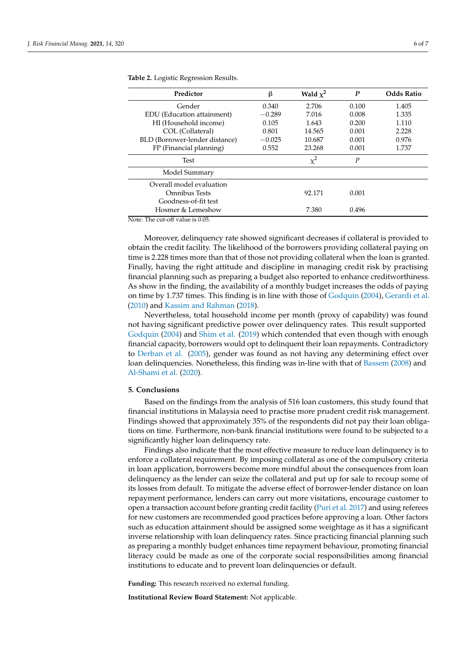| Predictor                      | ß        | Wald $\chi^2$ | $\boldsymbol{P}$ | <b>Odds Ratio</b> |
|--------------------------------|----------|---------------|------------------|-------------------|
| Gender                         | 0.340    | 2.706         | 0.100            | 1.405             |
| EDU (Education attainment)     | $-0.289$ | 7.016         | 0.008            | 1.335             |
| HI (Household income)          | 0.105    | 1.643         | 0.200            | 1.110             |
| COL (Collateral)               | 0.801    | 14.565        | 0.001            | 2.228             |
| BLD (Borrower-lender distance) | $-0.025$ | 10.687        | 0.001            | 0.976             |
| FP (Financial planning)        | 0.552    | 23.268        | 0.001            | 1.737             |
| Test                           |          | $\chi^2$      | $\boldsymbol{P}$ |                   |
| Model Summary                  |          |               |                  |                   |
| Overall model evaluation       |          |               |                  |                   |
| Omnibus Tests                  |          | 92.171        | 0.001            |                   |
| Goodness-of-fit test           |          |               |                  |                   |
| Hosmer & Lemeshow              |          | 7.380         | 0.496            |                   |

<span id="page-6-1"></span>**Table 2.** Logistic Regression Results.

Note: The cut-off value is 0.05.

Moreover, delinquency rate showed significant decreases if collateral is provided to obtain the credit facility. The likelihood of the borrowers providing collateral paying on time is 2.228 times more than that of those not providing collateral when the loan is granted. Finally, having the right attitude and discipline in managing credit risk by practising financial planning such as preparing a budget also reported to enhance creditworthiness. As show in the finding, the availability of a monthly budget increases the odds of paying on time by 1.737 times. This finding is in line with those of [Godquin](#page-7-4) [\(2004\)](#page-7-4), [Gerardi et al.](#page-7-16) [\(2010\)](#page-7-16) and [Kassim and Rahman](#page-7-6) [\(2018\)](#page-7-6).

Nevertheless, total household income per month (proxy of capability) was found not having significant predictive power over delinquency rates. This result supported [Godquin](#page-7-4) [\(2004\)](#page-7-4) and [Shim et al.](#page-7-19) [\(2019\)](#page-7-19) which contended that even though with enough financial capacity, borrowers would opt to delinquent their loan repayments. Contradictory to [Derban et al.](#page-7-8) [\(2005\)](#page-7-8), gender was found as not having any determining effect over loan delinquencies. Nonetheless, this finding was in-line with that of [Bassem](#page-7-9) [\(2008\)](#page-7-9) and [Al-Shami et al.](#page-7-21) [\(2020\)](#page-7-21).

### <span id="page-6-0"></span>**5. Conclusions**

Based on the findings from the analysis of 516 loan customers, this study found that financial institutions in Malaysia need to practise more prudent credit risk management. Findings showed that approximately 35% of the respondents did not pay their loan obligations on time. Furthermore, non-bank financial institutions were found to be subjected to a significantly higher loan delinquency rate.

Findings also indicate that the most effective measure to reduce loan delinquency is to enforce a collateral requirement. By imposing collateral as one of the compulsory criteria in loan application, borrowers become more mindful about the consequences from loan delinquency as the lender can seize the collateral and put up for sale to recoup some of its losses from default. To mitigate the adverse effect of borrower-lender distance on loan repayment performance, lenders can carry out more visitations, encourage customer to open a transaction account before granting credit facility [\(Puri et al.](#page-7-14) [2017\)](#page-7-14) and using referees for new customers are recommended good practices before approving a loan. Other factors such as education attainment should be assigned some weightage as it has a significant inverse relationship with loan delinquency rates. Since practicing financial planning such as preparing a monthly budget enhances time repayment behaviour, promoting financial literacy could be made as one of the corporate social responsibilities among financial institutions to educate and to prevent loan delinquencies or default.

**Funding:** This research received no external funding.

**Institutional Review Board Statement:** Not applicable.